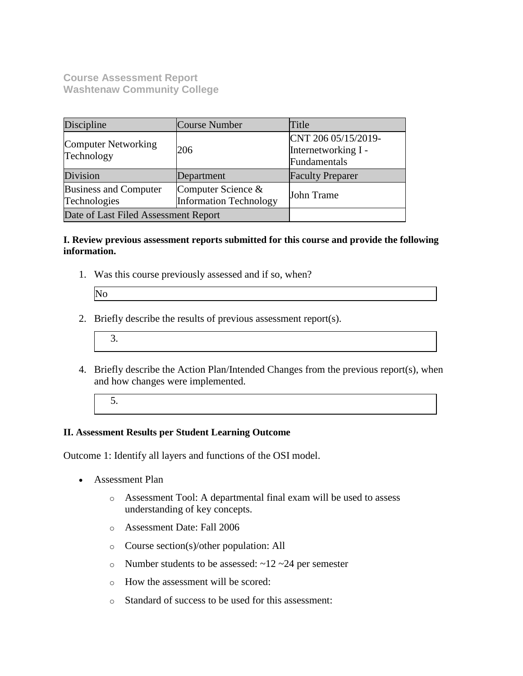**Course Assessment Report Washtenaw Community College**

| Discipline                                   | Course Number                                       | Title                                                      |
|----------------------------------------------|-----------------------------------------------------|------------------------------------------------------------|
| Computer Networking<br>Technology            | 206                                                 | CNT 206 05/15/2019-<br>Internetworking I -<br>Fundamentals |
| Division                                     | Department                                          | <b>Faculty Preparer</b>                                    |
| <b>Business and Computer</b><br>Technologies | Computer Science &<br><b>Information Technology</b> | John Trame                                                 |
| Date of Last Filed Assessment Report         |                                                     |                                                            |

#### **I. Review previous assessment reports submitted for this course and provide the following information.**

1. Was this course previously assessed and if so, when?

| IN. |  |
|-----|--|
|     |  |
|     |  |

- 2. Briefly describe the results of previous assessment report(s).
	- 3.
- 4. Briefly describe the Action Plan/Intended Changes from the previous report(s), when and how changes were implemented.
	- 5.

## **II. Assessment Results per Student Learning Outcome**

Outcome 1: Identify all layers and functions of the OSI model.

- Assessment Plan
	- o Assessment Tool: A departmental final exam will be used to assess understanding of key concepts.
	- o Assessment Date: Fall 2006
	- o Course section(s)/other population: All
	- o Number students to be assessed:  $\sim$ 12  $\sim$ 24 per semester
	- o How the assessment will be scored:
	- o Standard of success to be used for this assessment: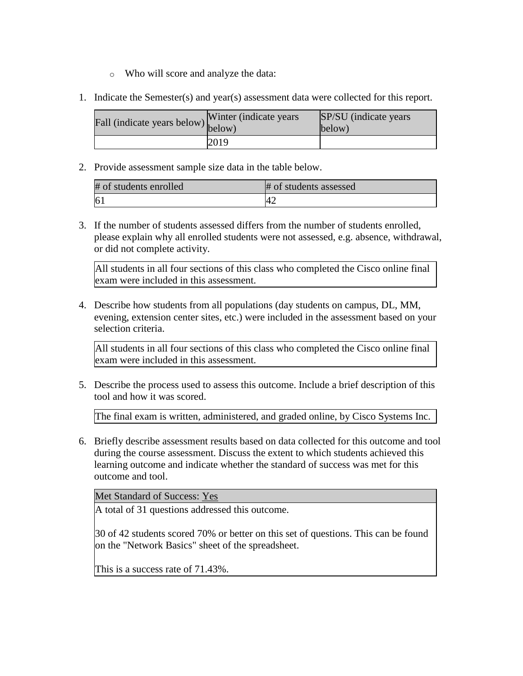- o Who will score and analyze the data:
- 1. Indicate the Semester(s) and year(s) assessment data were collected for this report.

| Fall (indicate years below) $\begin{bmatrix}$ while | Winter (indicate years) | SP/SU (indicate years)<br>$\text{below}$ |
|-----------------------------------------------------|-------------------------|------------------------------------------|
|                                                     | 2019                    |                                          |

| # of students enrolled | # of students assessed |
|------------------------|------------------------|
|                        | 4 <sub>4</sub>         |

3. If the number of students assessed differs from the number of students enrolled, please explain why all enrolled students were not assessed, e.g. absence, withdrawal, or did not complete activity.

All students in all four sections of this class who completed the Cisco online final exam were included in this assessment.

4. Describe how students from all populations (day students on campus, DL, MM, evening, extension center sites, etc.) were included in the assessment based on your selection criteria.

All students in all four sections of this class who completed the Cisco online final exam were included in this assessment.

5. Describe the process used to assess this outcome. Include a brief description of this tool and how it was scored.

The final exam is written, administered, and graded online, by Cisco Systems Inc.

6. Briefly describe assessment results based on data collected for this outcome and tool during the course assessment. Discuss the extent to which students achieved this learning outcome and indicate whether the standard of success was met for this outcome and tool.

Met Standard of Success: Yes

A total of 31 questions addressed this outcome.

30 of 42 students scored 70% or better on this set of questions. This can be found on the "Network Basics" sheet of the spreadsheet.

This is a success rate of 71.43%.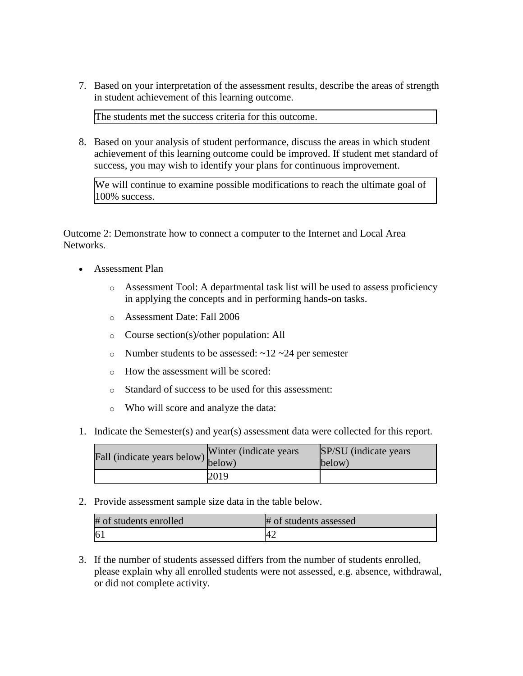7. Based on your interpretation of the assessment results, describe the areas of strength in student achievement of this learning outcome.

The students met the success criteria for this outcome.

8. Based on your analysis of student performance, discuss the areas in which student achievement of this learning outcome could be improved. If student met standard of success, you may wish to identify your plans for continuous improvement.

We will continue to examine possible modifications to reach the ultimate goal of 100% success.

Outcome 2: Demonstrate how to connect a computer to the Internet and Local Area Networks.

- Assessment Plan
	- o Assessment Tool: A departmental task list will be used to assess proficiency in applying the concepts and in performing hands-on tasks.
	- o Assessment Date: Fall 2006
	- o Course section(s)/other population: All
	- o Number students to be assessed:  $\sim$ 12  $\sim$ 24 per semester
	- o How the assessment will be scored:
	- o Standard of success to be used for this assessment:
	- o Who will score and analyze the data:
- 1. Indicate the Semester(s) and year(s) assessment data were collected for this report.

| Fall (indicate years below) below) | Winter (indicate years) | SP/SU (indicate years)<br>below) |
|------------------------------------|-------------------------|----------------------------------|
|                                    | 2019                    |                                  |

2. Provide assessment sample size data in the table below.

| # of students enrolled | # of students assessed |
|------------------------|------------------------|
|                        | . .                    |

3. If the number of students assessed differs from the number of students enrolled, please explain why all enrolled students were not assessed, e.g. absence, withdrawal, or did not complete activity.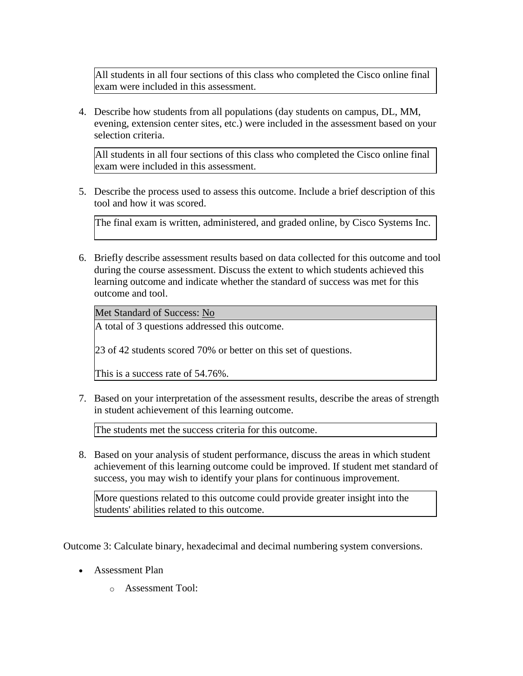All students in all four sections of this class who completed the Cisco online final exam were included in this assessment.

4. Describe how students from all populations (day students on campus, DL, MM, evening, extension center sites, etc.) were included in the assessment based on your selection criteria.

All students in all four sections of this class who completed the Cisco online final exam were included in this assessment.

5. Describe the process used to assess this outcome. Include a brief description of this tool and how it was scored.

The final exam is written, administered, and graded online, by Cisco Systems Inc.

6. Briefly describe assessment results based on data collected for this outcome and tool during the course assessment. Discuss the extent to which students achieved this learning outcome and indicate whether the standard of success was met for this outcome and tool.

Met Standard of Success: No

A total of 3 questions addressed this outcome.

23 of 42 students scored 70% or better on this set of questions.

This is a success rate of 54.76%.

7. Based on your interpretation of the assessment results, describe the areas of strength in student achievement of this learning outcome.

The students met the success criteria for this outcome.

8. Based on your analysis of student performance, discuss the areas in which student achievement of this learning outcome could be improved. If student met standard of success, you may wish to identify your plans for continuous improvement.

More questions related to this outcome could provide greater insight into the students' abilities related to this outcome.

Outcome 3: Calculate binary, hexadecimal and decimal numbering system conversions.

- Assessment Plan
	- o Assessment Tool: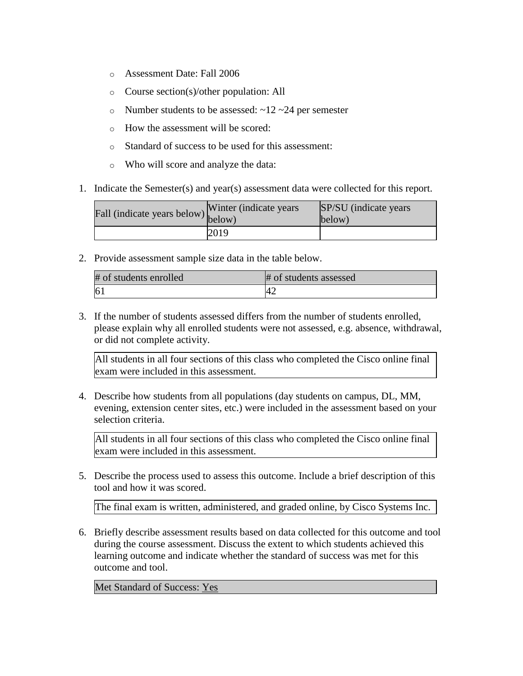- o Assessment Date: Fall 2006
- o Course section(s)/other population: All
- o Number students to be assessed:  $\sim$ 12  $\sim$ 24 per semester
- o How the assessment will be scored:
- o Standard of success to be used for this assessment:
- o Who will score and analyze the data:
- 1. Indicate the Semester(s) and year(s) assessment data were collected for this report.

| Fall (indicate years below) below) | Winter (indicate years) | SP/SU (indicate years)<br>below) |
|------------------------------------|-------------------------|----------------------------------|
|                                    | 2019                    |                                  |

| # of students enrolled | # of students assessed |
|------------------------|------------------------|
| 6 <sup>1</sup>         |                        |

3. If the number of students assessed differs from the number of students enrolled, please explain why all enrolled students were not assessed, e.g. absence, withdrawal, or did not complete activity.

All students in all four sections of this class who completed the Cisco online final exam were included in this assessment.

4. Describe how students from all populations (day students on campus, DL, MM, evening, extension center sites, etc.) were included in the assessment based on your selection criteria.

All students in all four sections of this class who completed the Cisco online final exam were included in this assessment.

5. Describe the process used to assess this outcome. Include a brief description of this tool and how it was scored.

The final exam is written, administered, and graded online, by Cisco Systems Inc.

6. Briefly describe assessment results based on data collected for this outcome and tool during the course assessment. Discuss the extent to which students achieved this learning outcome and indicate whether the standard of success was met for this outcome and tool.

Met Standard of Success: Yes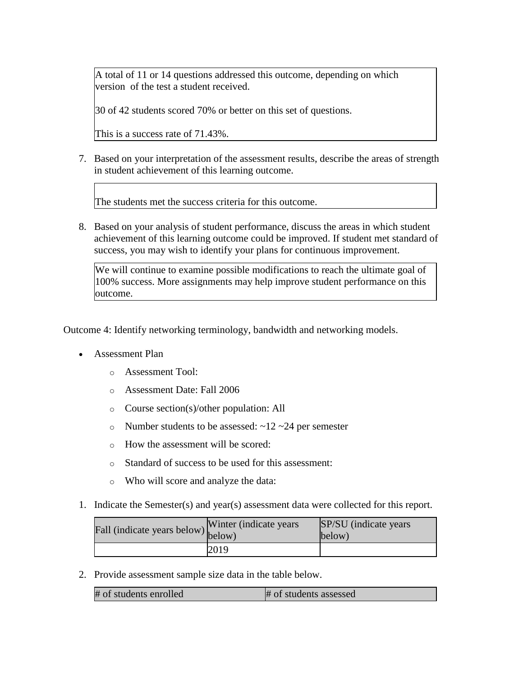A total of 11 or 14 questions addressed this outcome, depending on which version of the test a student received.

30 of 42 students scored 70% or better on this set of questions.

This is a success rate of 71.43%.

7. Based on your interpretation of the assessment results, describe the areas of strength in student achievement of this learning outcome.

The students met the success criteria for this outcome.

8. Based on your analysis of student performance, discuss the areas in which student achievement of this learning outcome could be improved. If student met standard of success, you may wish to identify your plans for continuous improvement.

We will continue to examine possible modifications to reach the ultimate goal of 100% success. More assignments may help improve student performance on this outcome.

Outcome 4: Identify networking terminology, bandwidth and networking models.

- Assessment Plan
	- o Assessment Tool:
	- o Assessment Date: Fall 2006
	- o Course section(s)/other population: All
	- o Number students to be assessed:  $\sim$ 12  $\sim$ 24 per semester
	- o How the assessment will be scored:
	- o Standard of success to be used for this assessment:
	- o Who will score and analyze the data:
- 1. Indicate the Semester(s) and year(s) assessment data were collected for this report.

| rall (indicate years below) below) | Winter (indicate years) | SP/SU (indicate years)<br>below) |
|------------------------------------|-------------------------|----------------------------------|
|                                    | 2019                    |                                  |

2. Provide assessment sample size data in the table below.

| # of students enrolled | # of students assessed |
|------------------------|------------------------|
|------------------------|------------------------|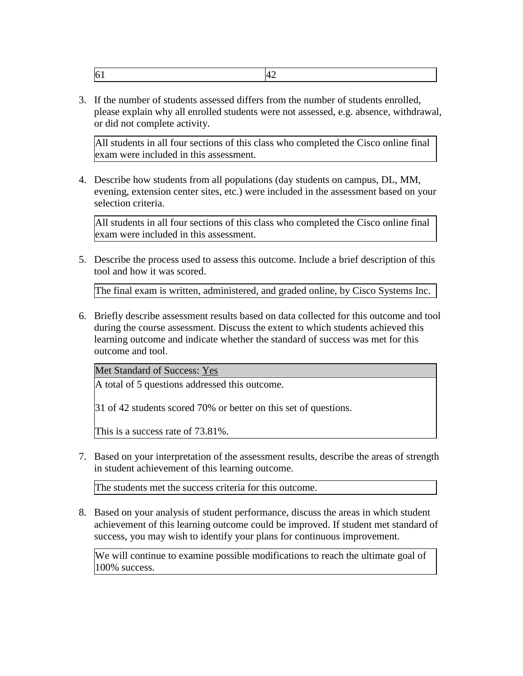3. If the number of students assessed differs from the number of students enrolled, please explain why all enrolled students were not assessed, e.g. absence, withdrawal, or did not complete activity.

All students in all four sections of this class who completed the Cisco online final exam were included in this assessment.

4. Describe how students from all populations (day students on campus, DL, MM, evening, extension center sites, etc.) were included in the assessment based on your selection criteria.

All students in all four sections of this class who completed the Cisco online final exam were included in this assessment.

5. Describe the process used to assess this outcome. Include a brief description of this tool and how it was scored.

The final exam is written, administered, and graded online, by Cisco Systems Inc.

6. Briefly describe assessment results based on data collected for this outcome and tool during the course assessment. Discuss the extent to which students achieved this learning outcome and indicate whether the standard of success was met for this outcome and tool.

Met Standard of Success: Yes

A total of 5 questions addressed this outcome.

31 of 42 students scored 70% or better on this set of questions.

This is a success rate of 73.81%.

7. Based on your interpretation of the assessment results, describe the areas of strength in student achievement of this learning outcome.

The students met the success criteria for this outcome.

8. Based on your analysis of student performance, discuss the areas in which student achievement of this learning outcome could be improved. If student met standard of success, you may wish to identify your plans for continuous improvement.

We will continue to examine possible modifications to reach the ultimate goal of 100% success.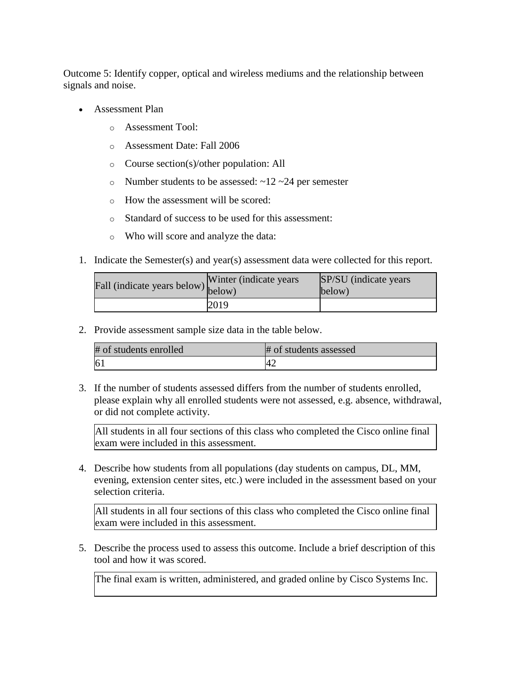Outcome 5: Identify copper, optical and wireless mediums and the relationship between signals and noise.

- Assessment Plan
	- o Assessment Tool:
	- o Assessment Date: Fall 2006
	- o Course section(s)/other population: All
	- o Number students to be assessed:  $\sim$ 12  $\sim$ 24 per semester
	- o How the assessment will be scored:
	- o Standard of success to be used for this assessment:
	- o Who will score and analyze the data:
- 1. Indicate the Semester(s) and year(s) assessment data were collected for this report.

| Fall (indicate years below) below) | Winter (indicate years) | SP/SU (indicate years)<br>below) |
|------------------------------------|-------------------------|----------------------------------|
|                                    | 2019                    |                                  |

2. Provide assessment sample size data in the table below.

| # of students enrolled | # of students assessed |
|------------------------|------------------------|
| $\vert 6\rangle$       | ᠰ                      |

3. If the number of students assessed differs from the number of students enrolled, please explain why all enrolled students were not assessed, e.g. absence, withdrawal, or did not complete activity.

All students in all four sections of this class who completed the Cisco online final exam were included in this assessment.

4. Describe how students from all populations (day students on campus, DL, MM, evening, extension center sites, etc.) were included in the assessment based on your selection criteria.

All students in all four sections of this class who completed the Cisco online final exam were included in this assessment.

5. Describe the process used to assess this outcome. Include a brief description of this tool and how it was scored.

The final exam is written, administered, and graded online by Cisco Systems Inc.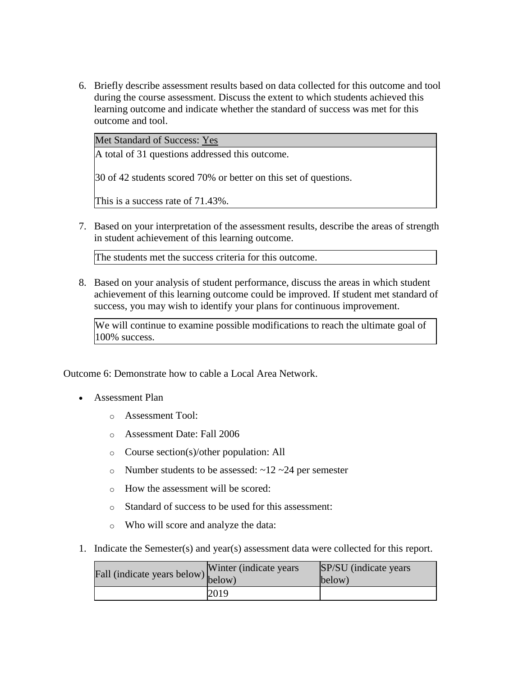6. Briefly describe assessment results based on data collected for this outcome and tool during the course assessment. Discuss the extent to which students achieved this learning outcome and indicate whether the standard of success was met for this outcome and tool.

Met Standard of Success: Yes

A total of 31 questions addressed this outcome.

30 of 42 students scored 70% or better on this set of questions.

This is a success rate of 71.43%.

7. Based on your interpretation of the assessment results, describe the areas of strength in student achievement of this learning outcome.

The students met the success criteria for this outcome.

8. Based on your analysis of student performance, discuss the areas in which student achievement of this learning outcome could be improved. If student met standard of success, you may wish to identify your plans for continuous improvement.

We will continue to examine possible modifications to reach the ultimate goal of 100% success.

Outcome 6: Demonstrate how to cable a Local Area Network.

- Assessment Plan
	- o Assessment Tool:
	- o Assessment Date: Fall 2006
	- o Course section(s)/other population: All
	- o Number students to be assessed:  $\sim$ 12  $\sim$ 24 per semester
	- o How the assessment will be scored:
	- o Standard of success to be used for this assessment:
	- o Who will score and analyze the data:
- 1. Indicate the Semester(s) and year(s) assessment data were collected for this report.

| Fall (indicate years below) below) | Winter (indicate years) | SP/SU (indicate years)<br>below) |
|------------------------------------|-------------------------|----------------------------------|
|                                    | 2019                    |                                  |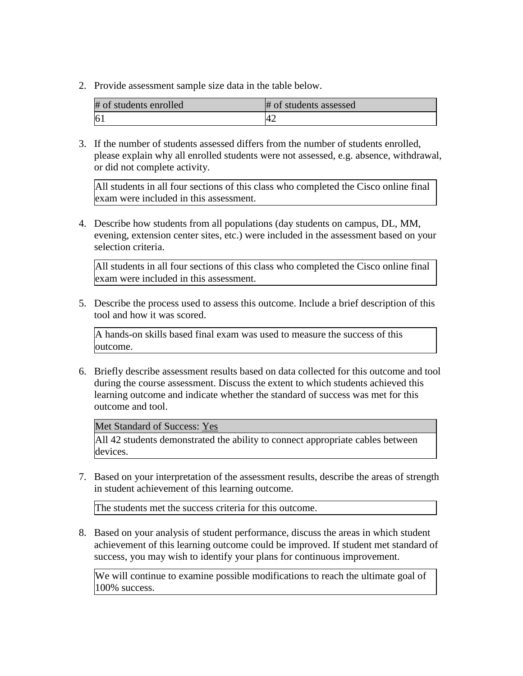| # of students enrolled | # of students assessed |
|------------------------|------------------------|
|                        |                        |

3. If the number of students assessed differs from the number of students enrolled, please explain why all enrolled students were not assessed, e.g. absence, withdrawal, or did not complete activity.

All students in all four sections of this class who completed the Cisco online final exam were included in this assessment.

4. Describe how students from all populations (day students on campus, DL, MM, evening, extension center sites, etc.) were included in the assessment based on your selection criteria.

All students in all four sections of this class who completed the Cisco online final exam were included in this assessment.

5. Describe the process used to assess this outcome. Include a brief description of this tool and how it was scored.

A hands-on skills based final exam was used to measure the success of this outcome.

6. Briefly describe assessment results based on data collected for this outcome and tool during the course assessment. Discuss the extent to which students achieved this learning outcome and indicate whether the standard of success was met for this outcome and tool.

Met Standard of Success: Yes

All 42 students demonstrated the ability to connect appropriate cables between devices.

7. Based on your interpretation of the assessment results, describe the areas of strength in student achievement of this learning outcome.

The students met the success criteria for this outcome.

8. Based on your analysis of student performance, discuss the areas in which student achievement of this learning outcome could be improved. If student met standard of success, you may wish to identify your plans for continuous improvement.

We will continue to examine possible modifications to reach the ultimate goal of 100% success.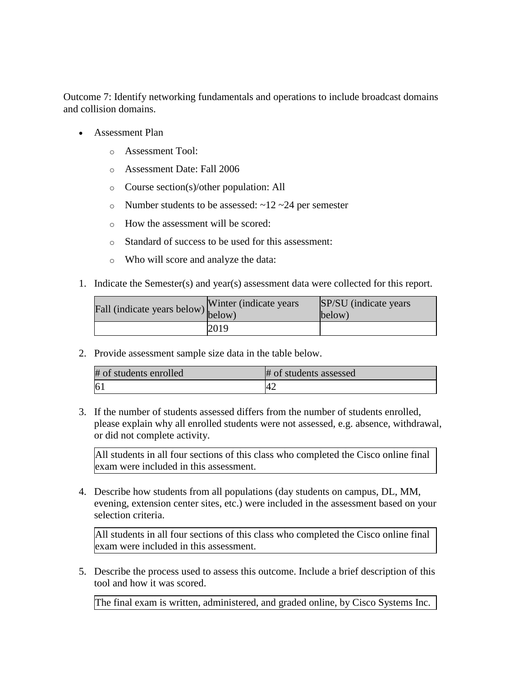Outcome 7: Identify networking fundamentals and operations to include broadcast domains and collision domains.

- Assessment Plan
	- o Assessment Tool:
	- o Assessment Date: Fall 2006
	- o Course section(s)/other population: All
	- o Number students to be assessed:  $\sim$ 12  $\sim$ 24 per semester
	- o How the assessment will be scored:
	- o Standard of success to be used for this assessment:
	- o Who will score and analyze the data:
- 1. Indicate the Semester(s) and year(s) assessment data were collected for this report.

| Fall (indicate years below) below) | Winter (indicate years) | SP/SU (indicate years)<br>below) |
|------------------------------------|-------------------------|----------------------------------|
|                                    | 2019                    |                                  |

2. Provide assessment sample size data in the table below.

| # of students enrolled | # of students assessed |
|------------------------|------------------------|
| 61                     |                        |

3. If the number of students assessed differs from the number of students enrolled, please explain why all enrolled students were not assessed, e.g. absence, withdrawal, or did not complete activity.

All students in all four sections of this class who completed the Cisco online final exam were included in this assessment.

4. Describe how students from all populations (day students on campus, DL, MM, evening, extension center sites, etc.) were included in the assessment based on your selection criteria.

All students in all four sections of this class who completed the Cisco online final exam were included in this assessment.

5. Describe the process used to assess this outcome. Include a brief description of this tool and how it was scored.

The final exam is written, administered, and graded online, by Cisco Systems Inc.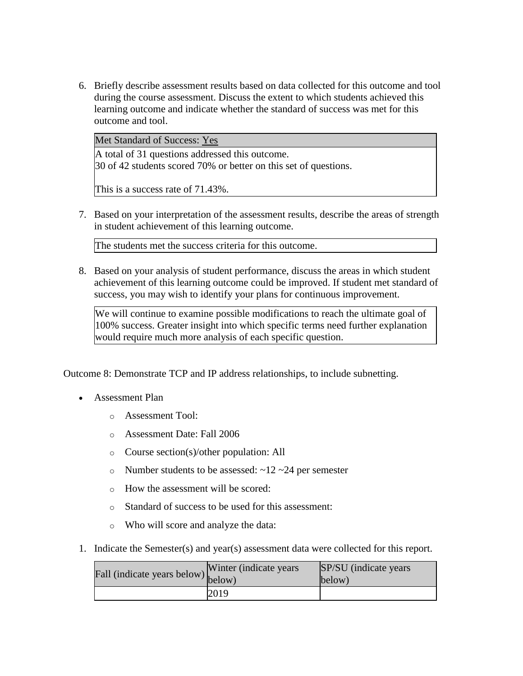6. Briefly describe assessment results based on data collected for this outcome and tool during the course assessment. Discuss the extent to which students achieved this learning outcome and indicate whether the standard of success was met for this outcome and tool.

Met Standard of Success: Yes

A total of 31 questions addressed this outcome.

30 of 42 students scored 70% or better on this set of questions.

This is a success rate of 71.43%.

7. Based on your interpretation of the assessment results, describe the areas of strength in student achievement of this learning outcome.

The students met the success criteria for this outcome.

8. Based on your analysis of student performance, discuss the areas in which student achievement of this learning outcome could be improved. If student met standard of success, you may wish to identify your plans for continuous improvement.

We will continue to examine possible modifications to reach the ultimate goal of 100% success. Greater insight into which specific terms need further explanation would require much more analysis of each specific question.

Outcome 8: Demonstrate TCP and IP address relationships, to include subnetting.

- Assessment Plan
	- o Assessment Tool:
	- o Assessment Date: Fall 2006
	- o Course section(s)/other population: All
	- o Number students to be assessed:  $\sim$ 12  $\sim$ 24 per semester
	- o How the assessment will be scored:
	- o Standard of success to be used for this assessment:
	- o Who will score and analyze the data:
- 1. Indicate the Semester(s) and year(s) assessment data were collected for this report.

| Fall (indicate years below) below) | Winter (indicate years) | SP/SU (indicate years)<br>below) |
|------------------------------------|-------------------------|----------------------------------|
|                                    | 2019                    |                                  |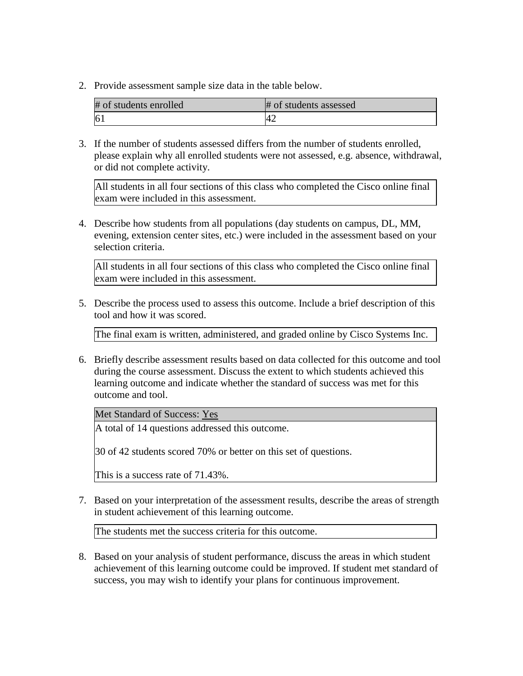| # of students enrolled | # of students assessed |
|------------------------|------------------------|
|                        |                        |

3. If the number of students assessed differs from the number of students enrolled, please explain why all enrolled students were not assessed, e.g. absence, withdrawal, or did not complete activity.

All students in all four sections of this class who completed the Cisco online final exam were included in this assessment.

4. Describe how students from all populations (day students on campus, DL, MM, evening, extension center sites, etc.) were included in the assessment based on your selection criteria.

All students in all four sections of this class who completed the Cisco online final exam were included in this assessment.

5. Describe the process used to assess this outcome. Include a brief description of this tool and how it was scored.

The final exam is written, administered, and graded online by Cisco Systems Inc.

6. Briefly describe assessment results based on data collected for this outcome and tool during the course assessment. Discuss the extent to which students achieved this learning outcome and indicate whether the standard of success was met for this outcome and tool.

Met Standard of Success: Yes

A total of 14 questions addressed this outcome.

30 of 42 students scored 70% or better on this set of questions.

This is a success rate of 71.43%.

7. Based on your interpretation of the assessment results, describe the areas of strength in student achievement of this learning outcome.

The students met the success criteria for this outcome.

8. Based on your analysis of student performance, discuss the areas in which student achievement of this learning outcome could be improved. If student met standard of success, you may wish to identify your plans for continuous improvement.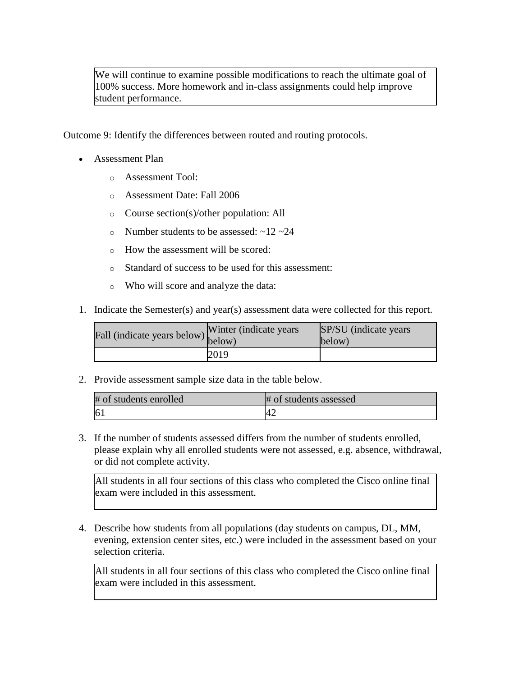We will continue to examine possible modifications to reach the ultimate goal of 100% success. More homework and in-class assignments could help improve student performance.

Outcome 9: Identify the differences between routed and routing protocols.

- Assessment Plan
	- o Assessment Tool:
	- o Assessment Date: Fall 2006
	- o Course section(s)/other population: All
	- o Number students to be assessed:  $\sim$ 12  $\sim$ 24
	- o How the assessment will be scored:
	- o Standard of success to be used for this assessment:
	- o Who will score and analyze the data:
- 1. Indicate the Semester(s) and year(s) assessment data were collected for this report.

| Fall (indicate years below) below) | Winter (indicate years) | SP/SU (indicate years)<br>below) |
|------------------------------------|-------------------------|----------------------------------|
|                                    | 2019                    |                                  |

2. Provide assessment sample size data in the table below.

| # of students enrolled | # of students assessed |
|------------------------|------------------------|
| 61                     |                        |

3. If the number of students assessed differs from the number of students enrolled, please explain why all enrolled students were not assessed, e.g. absence, withdrawal, or did not complete activity.

All students in all four sections of this class who completed the Cisco online final exam were included in this assessment.

4. Describe how students from all populations (day students on campus, DL, MM, evening, extension center sites, etc.) were included in the assessment based on your selection criteria.

All students in all four sections of this class who completed the Cisco online final exam were included in this assessment.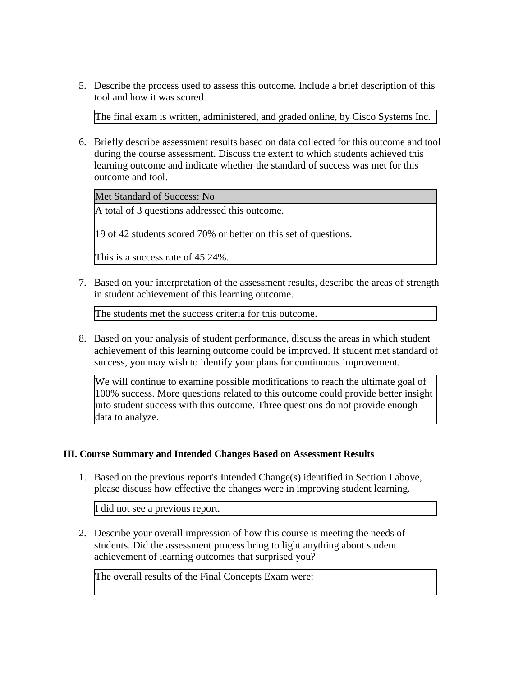5. Describe the process used to assess this outcome. Include a brief description of this tool and how it was scored.

The final exam is written, administered, and graded online, by Cisco Systems Inc.

6. Briefly describe assessment results based on data collected for this outcome and tool during the course assessment. Discuss the extent to which students achieved this learning outcome and indicate whether the standard of success was met for this outcome and tool.

Met Standard of Success: No

A total of 3 questions addressed this outcome.

19 of 42 students scored 70% or better on this set of questions.

This is a success rate of 45.24%.

7. Based on your interpretation of the assessment results, describe the areas of strength in student achievement of this learning outcome.

The students met the success criteria for this outcome.

8. Based on your analysis of student performance, discuss the areas in which student achievement of this learning outcome could be improved. If student met standard of success, you may wish to identify your plans for continuous improvement.

We will continue to examine possible modifications to reach the ultimate goal of 100% success. More questions related to this outcome could provide better insight into student success with this outcome. Three questions do not provide enough data to analyze.

### **III. Course Summary and Intended Changes Based on Assessment Results**

1. Based on the previous report's Intended Change(s) identified in Section I above, please discuss how effective the changes were in improving student learning.

I did not see a previous report.

2. Describe your overall impression of how this course is meeting the needs of students. Did the assessment process bring to light anything about student achievement of learning outcomes that surprised you?

The overall results of the Final Concepts Exam were: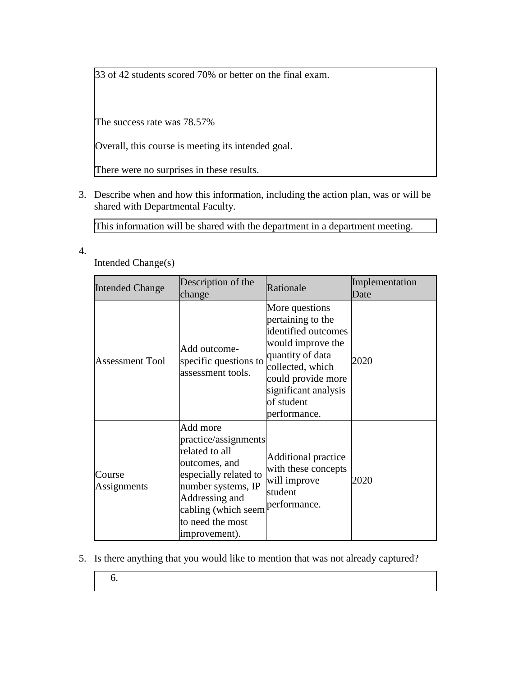33 of 42 students scored 70% or better on the final exam.

The success rate was 78.57%

Overall, this course is meeting its intended goal.

There were no surprises in these results.

3. Describe when and how this information, including the action plan, was or will be shared with Departmental Faculty.

This information will be shared with the department in a department meeting.

4.

Intended Change(s)

| <b>Intended Change</b> | Description of the<br>change                                                                                                                                                                     | Rationale                                                                                                                                                                                           | Implementation<br>Date |
|------------------------|--------------------------------------------------------------------------------------------------------------------------------------------------------------------------------------------------|-----------------------------------------------------------------------------------------------------------------------------------------------------------------------------------------------------|------------------------|
| <b>Assessment Tool</b> | Add outcome-<br>specific questions to<br>assessment tools.                                                                                                                                       | More questions<br>pertaining to the<br>identified outcomes<br>would improve the<br>quantity of data<br>collected, which<br>could provide more<br>significant analysis<br>of student<br>performance. | 2020                   |
| Course<br>Assignments  | Add more<br>practice/assignments<br>related to all<br>outcomes, and<br>especially related to<br>number systems, IP<br>Addressing and<br>cabling (which seem<br>to need the most<br>improvement). | <b>Additional practice</b><br>with these concepts<br>will improve<br>student<br>performance.                                                                                                        | 2020                   |

- 5. Is there anything that you would like to mention that was not already captured?
	- 6.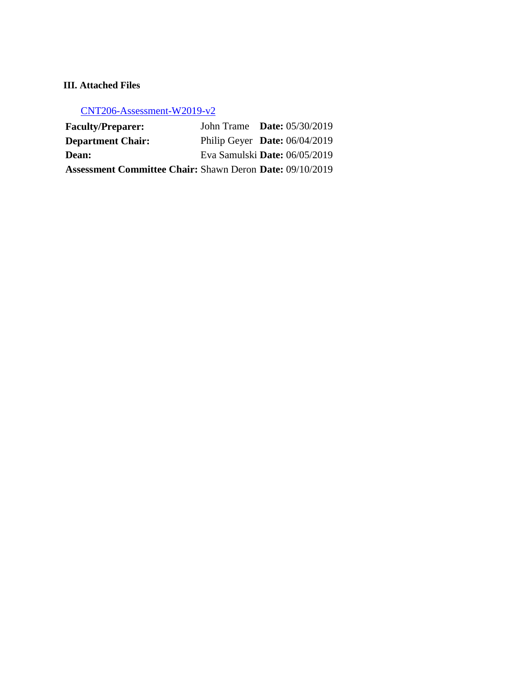# **III. Attached Files**

[CNT206-Assessment-W2019-v2](documents/CNT206%20Assessment-W2019-final-v2.xlsx)

| <b>Faculty/Preparer:</b>                                        | John Trame Date: $05/30/2019$   |  |
|-----------------------------------------------------------------|---------------------------------|--|
| <b>Department Chair:</b>                                        | Philip Geyer Date: $06/04/2019$ |  |
| <b>Dean:</b>                                                    | Eva Samulski Date: 06/05/2019   |  |
| <b>Assessment Committee Chair: Shawn Deron Date: 09/10/2019</b> |                                 |  |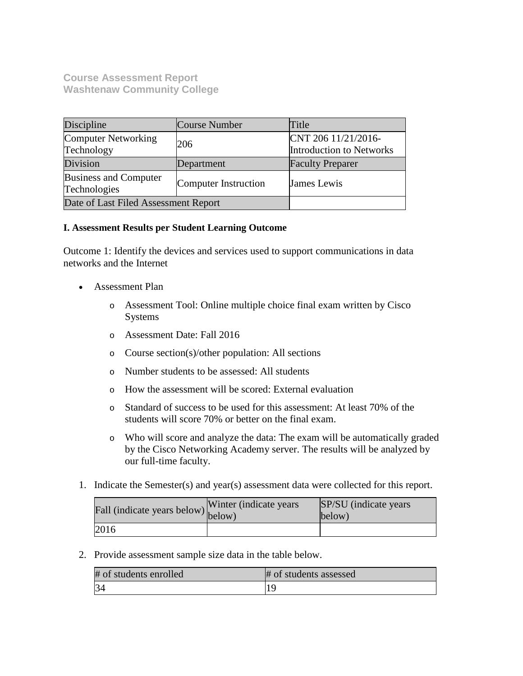**Course Assessment Report Washtenaw Community College**

| Discipline                                                           | Course Number | Title                                           |
|----------------------------------------------------------------------|---------------|-------------------------------------------------|
| Computer Networking<br>Technology                                    | 206           | CNT 206 11/21/2016-<br>Introduction to Networks |
| Division                                                             | Department    | <b>Faculty Preparer</b>                         |
| <b>Business and Computer</b><br>Computer Instruction<br>Technologies |               | James Lewis                                     |
| Date of Last Filed Assessment Report                                 |               |                                                 |

### **I. Assessment Results per Student Learning Outcome**

Outcome 1: Identify the devices and services used to support communications in data networks and the Internet

- Assessment Plan
	- o Assessment Tool: Online multiple choice final exam written by Cisco Systems
	- o Assessment Date: Fall 2016
	- o Course section(s)/other population: All sections
	- o Number students to be assessed: All students
	- o How the assessment will be scored: External evaluation
	- o Standard of success to be used for this assessment: At least 70% of the students will score 70% or better on the final exam.
	- o Who will score and analyze the data: The exam will be automatically graded by the Cisco Networking Academy server. The results will be analyzed by our full-time faculty.
- 1. Indicate the Semester(s) and year(s) assessment data were collected for this report.

| Fall (indicate years below) below) | Winter (indicate years) | SP/SU (indicate years)<br>below) |
|------------------------------------|-------------------------|----------------------------------|
| 2016                               |                         |                                  |

2. Provide assessment sample size data in the table below.

| # of students enrolled | # of students assessed |
|------------------------|------------------------|
| 34                     |                        |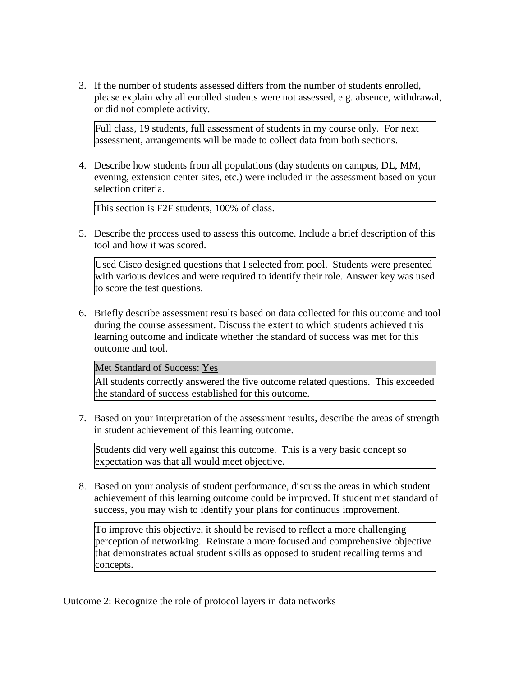3. If the number of students assessed differs from the number of students enrolled, please explain why all enrolled students were not assessed, e.g. absence, withdrawal, or did not complete activity.

Full class, 19 students, full assessment of students in my course only. For next assessment, arrangements will be made to collect data from both sections.

4. Describe how students from all populations (day students on campus, DL, MM, evening, extension center sites, etc.) were included in the assessment based on your selection criteria.

This section is F2F students, 100% of class.

5. Describe the process used to assess this outcome. Include a brief description of this tool and how it was scored.

Used Cisco designed questions that I selected from pool. Students were presented with various devices and were required to identify their role. Answer key was used to score the test questions.

6. Briefly describe assessment results based on data collected for this outcome and tool during the course assessment. Discuss the extent to which students achieved this learning outcome and indicate whether the standard of success was met for this outcome and tool.

Met Standard of Success: Yes

All students correctly answered the five outcome related questions. This exceeded the standard of success established for this outcome.

7. Based on your interpretation of the assessment results, describe the areas of strength in student achievement of this learning outcome.

Students did very well against this outcome. This is a very basic concept so expectation was that all would meet objective.

8. Based on your analysis of student performance, discuss the areas in which student achievement of this learning outcome could be improved. If student met standard of success, you may wish to identify your plans for continuous improvement.

To improve this objective, it should be revised to reflect a more challenging perception of networking. Reinstate a more focused and comprehensive objective that demonstrates actual student skills as opposed to student recalling terms and concepts.

Outcome 2: Recognize the role of protocol layers in data networks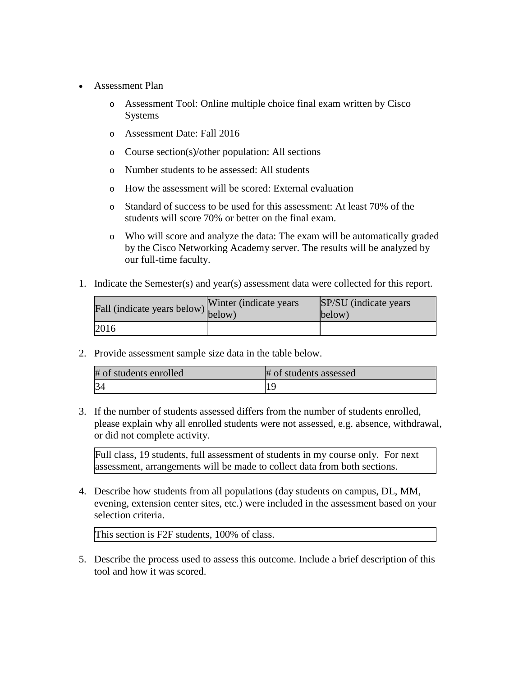- Assessment Plan
	- o Assessment Tool: Online multiple choice final exam written by Cisco Systems
	- o Assessment Date: Fall 2016
	- o Course section(s)/other population: All sections
	- o Number students to be assessed: All students
	- o How the assessment will be scored: External evaluation
	- o Standard of success to be used for this assessment: At least 70% of the students will score 70% or better on the final exam.
	- o Who will score and analyze the data: The exam will be automatically graded by the Cisco Networking Academy server. The results will be analyzed by our full-time faculty.
- 1. Indicate the Semester(s) and year(s) assessment data were collected for this report.

| Fall (indicate years below) below) | Winter (indicate years) | SP/SU (indicate years)<br>below) |
|------------------------------------|-------------------------|----------------------------------|
| 2016                               |                         |                                  |

| # of students enrolled | # of students assessed |
|------------------------|------------------------|
| 34                     |                        |

3. If the number of students assessed differs from the number of students enrolled, please explain why all enrolled students were not assessed, e.g. absence, withdrawal, or did not complete activity.

Full class, 19 students, full assessment of students in my course only. For next assessment, arrangements will be made to collect data from both sections.

4. Describe how students from all populations (day students on campus, DL, MM, evening, extension center sites, etc.) were included in the assessment based on your selection criteria.

This section is F2F students, 100% of class.

5. Describe the process used to assess this outcome. Include a brief description of this tool and how it was scored.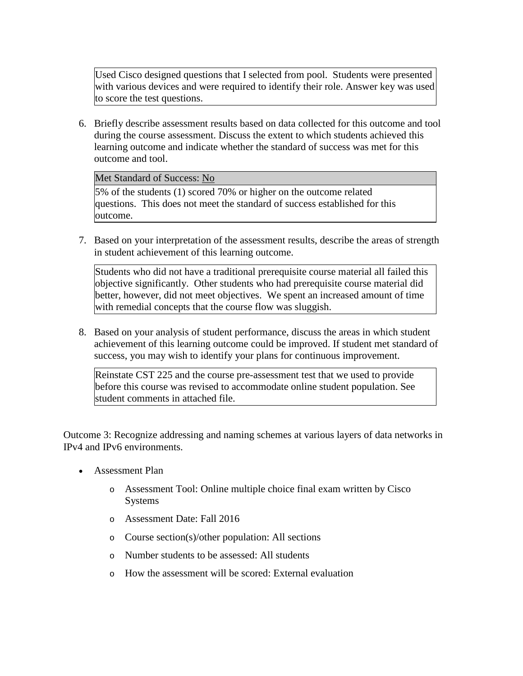Used Cisco designed questions that I selected from pool. Students were presented with various devices and were required to identify their role. Answer key was used to score the test questions.

6. Briefly describe assessment results based on data collected for this outcome and tool during the course assessment. Discuss the extent to which students achieved this learning outcome and indicate whether the standard of success was met for this outcome and tool.

Met Standard of Success: No

5% of the students (1) scored 70% or higher on the outcome related questions. This does not meet the standard of success established for this outcome.

7. Based on your interpretation of the assessment results, describe the areas of strength in student achievement of this learning outcome.

Students who did not have a traditional prerequisite course material all failed this objective significantly. Other students who had prerequisite course material did better, however, did not meet objectives. We spent an increased amount of time with remedial concepts that the course flow was sluggish.

8. Based on your analysis of student performance, discuss the areas in which student achievement of this learning outcome could be improved. If student met standard of success, you may wish to identify your plans for continuous improvement.

Reinstate CST 225 and the course pre-assessment test that we used to provide before this course was revised to accommodate online student population. See student comments in attached file.

Outcome 3: Recognize addressing and naming schemes at various layers of data networks in IPv4 and IPv6 environments.

- Assessment Plan
	- o Assessment Tool: Online multiple choice final exam written by Cisco Systems
	- o Assessment Date: Fall 2016
	- o Course section(s)/other population: All sections
	- o Number students to be assessed: All students
	- o How the assessment will be scored: External evaluation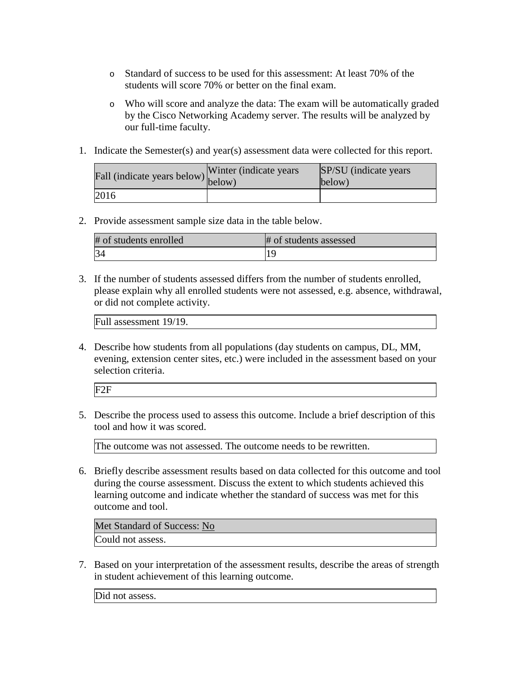- o Standard of success to be used for this assessment: At least 70% of the students will score 70% or better on the final exam.
- o Who will score and analyze the data: The exam will be automatically graded by the Cisco Networking Academy server. The results will be analyzed by our full-time faculty.
- 1. Indicate the Semester(s) and year(s) assessment data were collected for this report.

| Fall (indicate years below) below) | Winter (indicate years) | SP/SU (indicate years)<br>below) |
|------------------------------------|-------------------------|----------------------------------|
| 2016                               |                         |                                  |

| # of students enrolled | # of students assessed |
|------------------------|------------------------|
|                        |                        |

3. If the number of students assessed differs from the number of students enrolled, please explain why all enrolled students were not assessed, e.g. absence, withdrawal, or did not complete activity.

Full assessment 19/19.

4. Describe how students from all populations (day students on campus, DL, MM, evening, extension center sites, etc.) were included in the assessment based on your selection criteria.

| $F^{\gamma}$ |  |
|--------------|--|
|              |  |

5. Describe the process used to assess this outcome. Include a brief description of this tool and how it was scored.

The outcome was not assessed. The outcome needs to be rewritten.

6. Briefly describe assessment results based on data collected for this outcome and tool during the course assessment. Discuss the extent to which students achieved this learning outcome and indicate whether the standard of success was met for this outcome and tool.

Met Standard of Success: No Could not assess.

7. Based on your interpretation of the assessment results, describe the areas of strength in student achievement of this learning outcome.

Did not assess.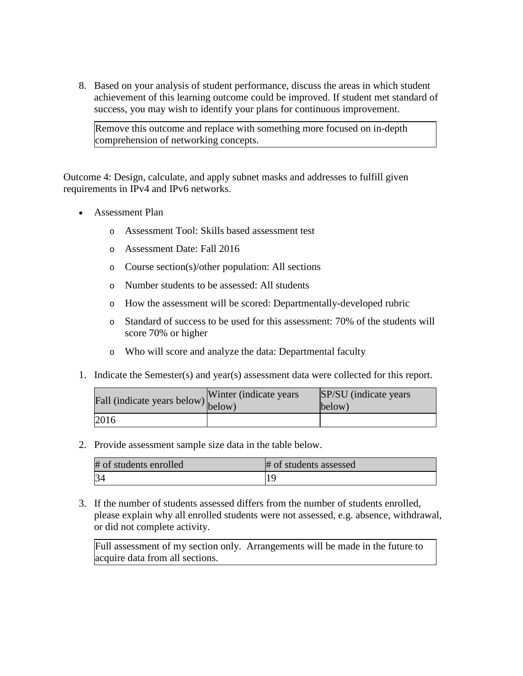8. Based on your analysis of student performance, discuss the areas in which student achievement of this learning outcome could be improved. If student met standard of success, you may wish to identify your plans for continuous improvement.

Remove this outcome and replace with something more focused on in-depth comprehension of networking concepts.

Outcome 4: Design, calculate, and apply subnet masks and addresses to fulfill given requirements in IPv4 and IPv6 networks.

- Assessment Plan
	- o Assessment Tool: Skills based assessment test
	- o Assessment Date: Fall 2016
	- o Course section(s)/other population: All sections
	- o Number students to be assessed: All students
	- o How the assessment will be scored: Departmentally-developed rubric
	- o Standard of success to be used for this assessment: 70% of the students will score 70% or higher
	- o Who will score and analyze the data: Departmental faculty
- 1. Indicate the Semester(s) and year(s) assessment data were collected for this report.

| Fall (indicate years below) $\begin{bmatrix} w \text{ line} \\ \text{below} \end{bmatrix}$ | Winter (indicate years) | SP/SU (indicate years)<br>below) |
|--------------------------------------------------------------------------------------------|-------------------------|----------------------------------|
| 2016                                                                                       |                         |                                  |

2. Provide assessment sample size data in the table below.

| # of students enrolled | # of students assessed |
|------------------------|------------------------|
| 34                     |                        |

3. If the number of students assessed differs from the number of students enrolled, please explain why all enrolled students were not assessed, e.g. absence, withdrawal, or did not complete activity.

Full assessment of my section only. Arrangements will be made in the future to acquire data from all sections.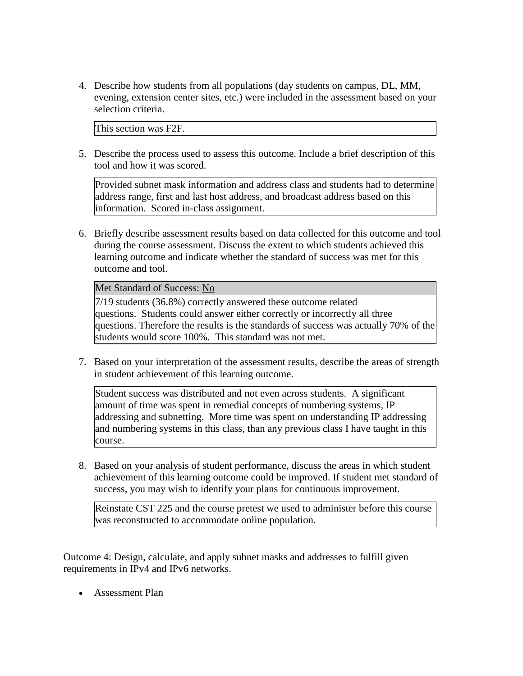4. Describe how students from all populations (day students on campus, DL, MM, evening, extension center sites, etc.) were included in the assessment based on your selection criteria.

This section was F2F.

5. Describe the process used to assess this outcome. Include a brief description of this tool and how it was scored.

Provided subnet mask information and address class and students had to determine address range, first and last host address, and broadcast address based on this information. Scored in-class assignment.

6. Briefly describe assessment results based on data collected for this outcome and tool during the course assessment. Discuss the extent to which students achieved this learning outcome and indicate whether the standard of success was met for this outcome and tool.

Met Standard of Success: No

7/19 students (36.8%) correctly answered these outcome related questions. Students could answer either correctly or incorrectly all three questions. Therefore the results is the standards of success was actually 70% of the students would score 100%. This standard was not met.

7. Based on your interpretation of the assessment results, describe the areas of strength in student achievement of this learning outcome.

Student success was distributed and not even across students. A significant amount of time was spent in remedial concepts of numbering systems, IP addressing and subnetting. More time was spent on understanding IP addressing and numbering systems in this class, than any previous class I have taught in this course.

8. Based on your analysis of student performance, discuss the areas in which student achievement of this learning outcome could be improved. If student met standard of success, you may wish to identify your plans for continuous improvement.

Reinstate CST 225 and the course pretest we used to administer before this course was reconstructed to accommodate online population.

Outcome 4: Design, calculate, and apply subnet masks and addresses to fulfill given requirements in IPv4 and IPv6 networks.

• Assessment Plan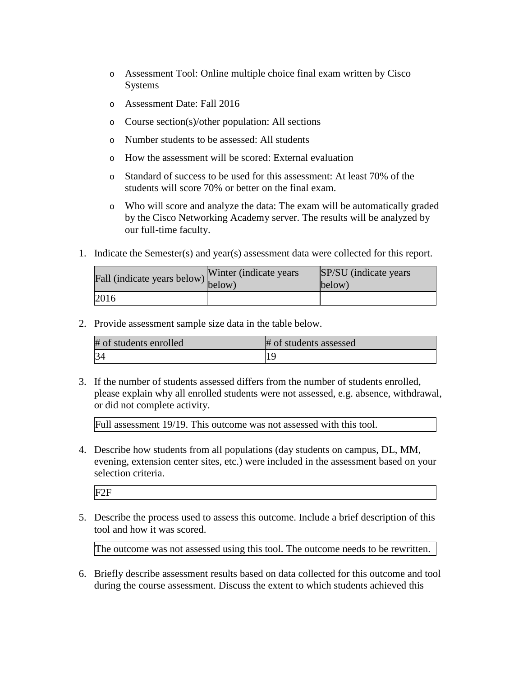- o Assessment Tool: Online multiple choice final exam written by Cisco Systems
- o Assessment Date: Fall 2016
- o Course section(s)/other population: All sections
- o Number students to be assessed: All students
- o How the assessment will be scored: External evaluation
- o Standard of success to be used for this assessment: At least 70% of the students will score 70% or better on the final exam.
- o Who will score and analyze the data: The exam will be automatically graded by the Cisco Networking Academy server. The results will be analyzed by our full-time faculty.
- 1. Indicate the Semester(s) and year(s) assessment data were collected for this report.

| Fall (indicate years below) below) | Winter (indicate years) | SP/SU (indicate years)<br>below) |
|------------------------------------|-------------------------|----------------------------------|
| 2016                               |                         |                                  |

| # of students enrolled | # of students assessed |
|------------------------|------------------------|
| 34                     |                        |

3. If the number of students assessed differs from the number of students enrolled, please explain why all enrolled students were not assessed, e.g. absence, withdrawal, or did not complete activity.

Full assessment 19/19. This outcome was not assessed with this tool.

4. Describe how students from all populations (day students on campus, DL, MM, evening, extension center sites, etc.) were included in the assessment based on your selection criteria.

F2F

5. Describe the process used to assess this outcome. Include a brief description of this tool and how it was scored.

The outcome was not assessed using this tool. The outcome needs to be rewritten.

6. Briefly describe assessment results based on data collected for this outcome and tool during the course assessment. Discuss the extent to which students achieved this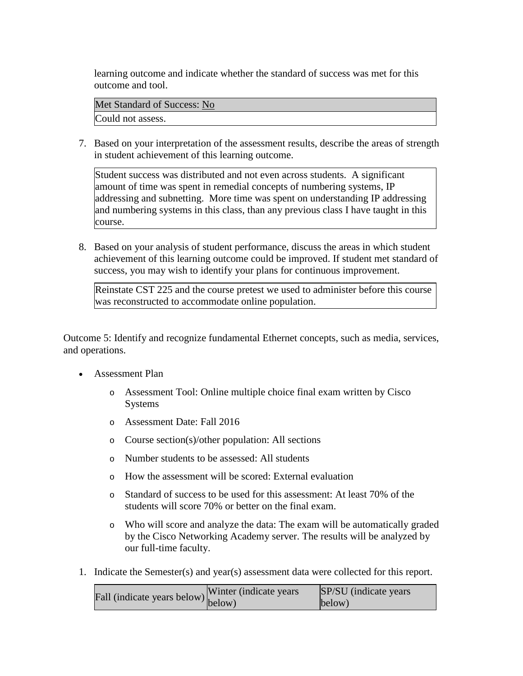learning outcome and indicate whether the standard of success was met for this outcome and tool.

Met Standard of Success: No Could not assess.

7. Based on your interpretation of the assessment results, describe the areas of strength in student achievement of this learning outcome.

Student success was distributed and not even across students. A significant amount of time was spent in remedial concepts of numbering systems, IP addressing and subnetting. More time was spent on understanding IP addressing and numbering systems in this class, than any previous class I have taught in this course.

8. Based on your analysis of student performance, discuss the areas in which student achievement of this learning outcome could be improved. If student met standard of success, you may wish to identify your plans for continuous improvement.

Reinstate CST 225 and the course pretest we used to administer before this course was reconstructed to accommodate online population.

Outcome 5: Identify and recognize fundamental Ethernet concepts, such as media, services, and operations.

- Assessment Plan
	- o Assessment Tool: Online multiple choice final exam written by Cisco Systems
	- o Assessment Date: Fall 2016
	- o Course section(s)/other population: All sections
	- o Number students to be assessed: All students
	- o How the assessment will be scored: External evaluation
	- o Standard of success to be used for this assessment: At least 70% of the students will score 70% or better on the final exam.
	- o Who will score and analyze the data: The exam will be automatically graded by the Cisco Networking Academy server. The results will be analyzed by our full-time faculty.
- 1. Indicate the Semester(s) and year(s) assessment data were collected for this report.

| $\text{unit}$ (indicate years below) Winter (indicate years | SP/SU (indicate years) |
|-------------------------------------------------------------|------------------------|
|                                                             | below)                 |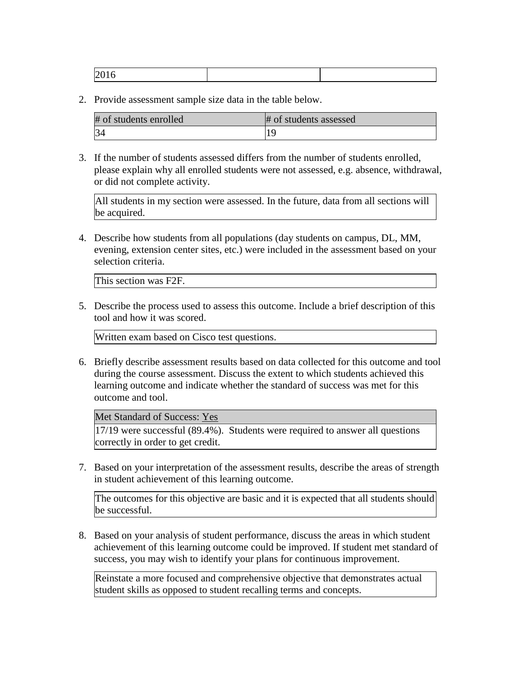| # of students enrolled | # of students assessed |
|------------------------|------------------------|
| 34                     |                        |

3. If the number of students assessed differs from the number of students enrolled, please explain why all enrolled students were not assessed, e.g. absence, withdrawal, or did not complete activity.

All students in my section were assessed. In the future, data from all sections will be acquired.

4. Describe how students from all populations (day students on campus, DL, MM, evening, extension center sites, etc.) were included in the assessment based on your selection criteria.

This section was F2F.

5. Describe the process used to assess this outcome. Include a brief description of this tool and how it was scored.

Written exam based on Cisco test questions.

6. Briefly describe assessment results based on data collected for this outcome and tool during the course assessment. Discuss the extent to which students achieved this learning outcome and indicate whether the standard of success was met for this outcome and tool.

Met Standard of Success: Yes

17/19 were successful (89.4%). Students were required to answer all questions correctly in order to get credit.

7. Based on your interpretation of the assessment results, describe the areas of strength in student achievement of this learning outcome.

The outcomes for this objective are basic and it is expected that all students should be successful.

8. Based on your analysis of student performance, discuss the areas in which student achievement of this learning outcome could be improved. If student met standard of success, you may wish to identify your plans for continuous improvement.

Reinstate a more focused and comprehensive objective that demonstrates actual student skills as opposed to student recalling terms and concepts.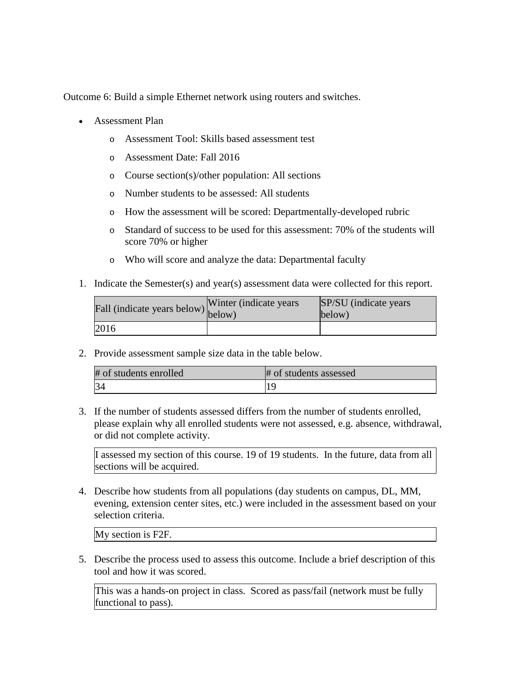Outcome 6: Build a simple Ethernet network using routers and switches.

- Assessment Plan
	- o Assessment Tool: Skills based assessment test
	- o Assessment Date: Fall 2016
	- o Course section(s)/other population: All sections
	- o Number students to be assessed: All students
	- o How the assessment will be scored: Departmentally-developed rubric
	- o Standard of success to be used for this assessment: 70% of the students will score 70% or higher
	- o Who will score and analyze the data: Departmental faculty
- 1. Indicate the Semester(s) and year(s) assessment data were collected for this report.

| Fall (indicate years below) below) | Winter (indicate years) | SP/SU (indicate years)<br>below) |
|------------------------------------|-------------------------|----------------------------------|
| 2016                               |                         |                                  |

2. Provide assessment sample size data in the table below.

| # of students enrolled | # of students assessed |
|------------------------|------------------------|
| 34                     |                        |

3. If the number of students assessed differs from the number of students enrolled, please explain why all enrolled students were not assessed, e.g. absence, withdrawal, or did not complete activity.

I assessed my section of this course. 19 of 19 students. In the future, data from all sections will be acquired.

4. Describe how students from all populations (day students on campus, DL, MM, evening, extension center sites, etc.) were included in the assessment based on your selection criteria.

My section is F2F.

5. Describe the process used to assess this outcome. Include a brief description of this tool and how it was scored.

This was a hands-on project in class. Scored as pass/fail (network must be fully functional to pass).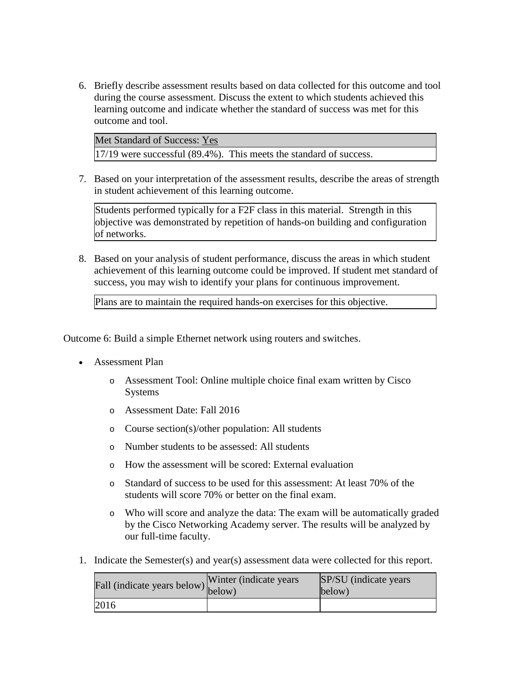6. Briefly describe assessment results based on data collected for this outcome and tool during the course assessment. Discuss the extent to which students achieved this learning outcome and indicate whether the standard of success was met for this outcome and tool.

Met Standard of Success: Yes 17/19 were successful (89.4%). This meets the standard of success.

7. Based on your interpretation of the assessment results, describe the areas of strength in student achievement of this learning outcome.

Students performed typically for a F2F class in this material. Strength in this objective was demonstrated by repetition of hands-on building and configuration of networks.

8. Based on your analysis of student performance, discuss the areas in which student achievement of this learning outcome could be improved. If student met standard of success, you may wish to identify your plans for continuous improvement.

Plans are to maintain the required hands-on exercises for this objective.

Outcome 6: Build a simple Ethernet network using routers and switches.

- Assessment Plan
	- o Assessment Tool: Online multiple choice final exam written by Cisco Systems
	- o Assessment Date: Fall 2016
	- o Course section(s)/other population: All students
	- o Number students to be assessed: All students
	- o How the assessment will be scored: External evaluation
	- o Standard of success to be used for this assessment: At least 70% of the students will score 70% or better on the final exam.
	- o Who will score and analyze the data: The exam will be automatically graded by the Cisco Networking Academy server. The results will be analyzed by our full-time faculty.
- 1. Indicate the Semester(s) and year(s) assessment data were collected for this report.

| Fall (indicate years below) below) | Winter (indicate years) | SP/SU (indicate years)<br>below) |
|------------------------------------|-------------------------|----------------------------------|
| 2016                               |                         |                                  |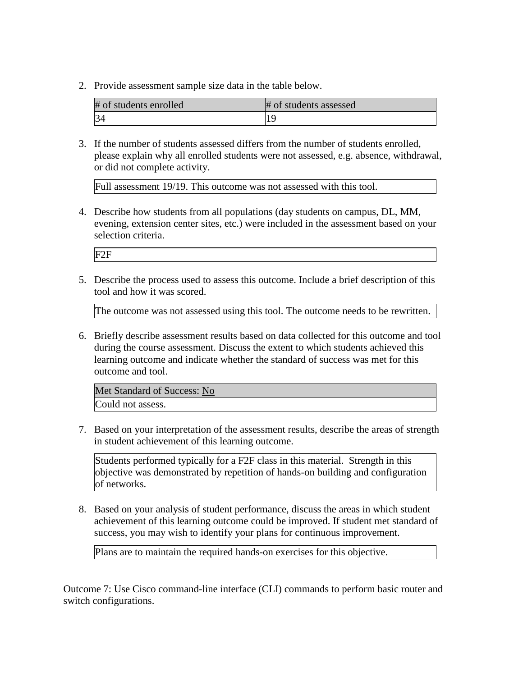| # of students enrolled | # of students assessed |
|------------------------|------------------------|
| 34                     |                        |

3. If the number of students assessed differs from the number of students enrolled, please explain why all enrolled students were not assessed, e.g. absence, withdrawal, or did not complete activity.

Full assessment 19/19. This outcome was not assessed with this tool.

4. Describe how students from all populations (day students on campus, DL, MM, evening, extension center sites, etc.) were included in the assessment based on your selection criteria.

F2F

5. Describe the process used to assess this outcome. Include a brief description of this tool and how it was scored.

The outcome was not assessed using this tool. The outcome needs to be rewritten.

6. Briefly describe assessment results based on data collected for this outcome and tool during the course assessment. Discuss the extent to which students achieved this learning outcome and indicate whether the standard of success was met for this outcome and tool.

Met Standard of Success: No Could not assess.

7. Based on your interpretation of the assessment results, describe the areas of strength in student achievement of this learning outcome.

Students performed typically for a F2F class in this material. Strength in this objective was demonstrated by repetition of hands-on building and configuration of networks.

8. Based on your analysis of student performance, discuss the areas in which student achievement of this learning outcome could be improved. If student met standard of success, you may wish to identify your plans for continuous improvement.

Plans are to maintain the required hands-on exercises for this objective.

Outcome 7: Use Cisco command-line interface (CLI) commands to perform basic router and switch configurations.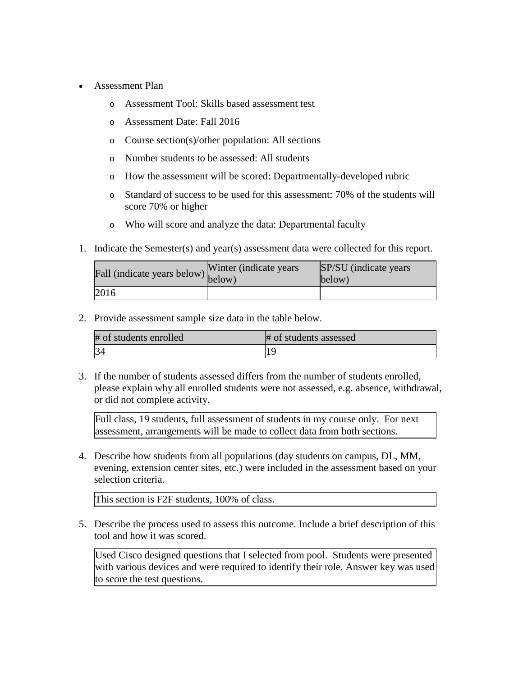- Assessment Plan
	- o Assessment Tool: Skills based assessment test
	- o Assessment Date: Fall 2016
	- o Course section(s)/other population: All sections
	- o Number students to be assessed: All students
	- o How the assessment will be scored: Departmentally-developed rubric
	- o Standard of success to be used for this assessment: 70% of the students will score 70% or higher
	- o Who will score and analyze the data: Departmental faculty
- 1. Indicate the Semester(s) and year(s) assessment data were collected for this report.

| Fall (indicate years below) below) | Winter (indicate years) | SP/SU (indicate years)<br>below) |
|------------------------------------|-------------------------|----------------------------------|
| 2016                               |                         |                                  |

| # of students enrolled | # of students assessed |
|------------------------|------------------------|
| 34                     |                        |

3. If the number of students assessed differs from the number of students enrolled, please explain why all enrolled students were not assessed, e.g. absence, withdrawal, or did not complete activity.

Full class, 19 students, full assessment of students in my course only. For next assessment, arrangements will be made to collect data from both sections.

4. Describe how students from all populations (day students on campus, DL, MM, evening, extension center sites, etc.) were included in the assessment based on your selection criteria.

This section is F2F students, 100% of class.

5. Describe the process used to assess this outcome. Include a brief description of this tool and how it was scored.

Used Cisco designed questions that I selected from pool. Students were presented with various devices and were required to identify their role. Answer key was used to score the test questions.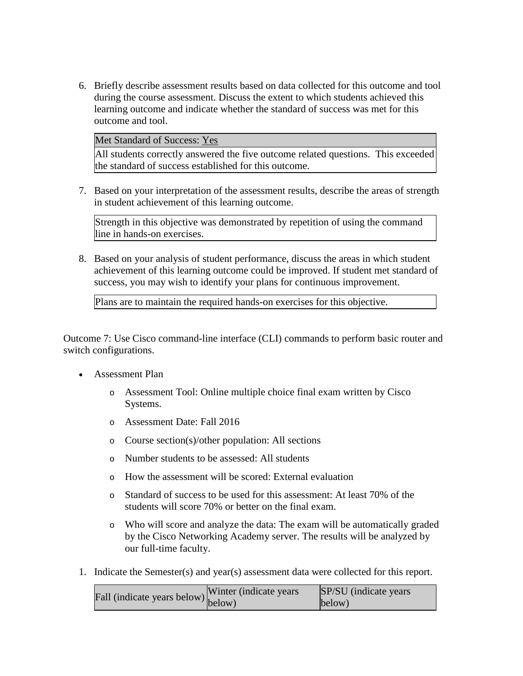6. Briefly describe assessment results based on data collected for this outcome and tool during the course assessment. Discuss the extent to which students achieved this learning outcome and indicate whether the standard of success was met for this outcome and tool.

Met Standard of Success: Yes

All students correctly answered the five outcome related questions. This exceeded the standard of success established for this outcome.

7. Based on your interpretation of the assessment results, describe the areas of strength in student achievement of this learning outcome.

Strength in this objective was demonstrated by repetition of using the command line in hands-on exercises.

8. Based on your analysis of student performance, discuss the areas in which student achievement of this learning outcome could be improved. If student met standard of success, you may wish to identify your plans for continuous improvement.

Plans are to maintain the required hands-on exercises for this objective.

Outcome 7: Use Cisco command-line interface (CLI) commands to perform basic router and switch configurations.

- Assessment Plan
	- o Assessment Tool: Online multiple choice final exam written by Cisco Systems.
	- o Assessment Date: Fall 2016
	- o Course section(s)/other population: All sections
	- o Number students to be assessed: All students
	- o How the assessment will be scored: External evaluation
	- o Standard of success to be used for this assessment: At least 70% of the students will score 70% or better on the final exam.
	- o Who will score and analyze the data: The exam will be automatically graded by the Cisco Networking Academy server. The results will be analyzed by our full-time faculty.
- 1. Indicate the Semester(s) and year(s) assessment data were collected for this report.

|                                                                  | Winter (indicate years) | <b>SP/SU</b> (indicate years) |
|------------------------------------------------------------------|-------------------------|-------------------------------|
| Fall (indicate years below) $\begin{bmatrix}$ <sup>W Inter</sup> |                         | below)                        |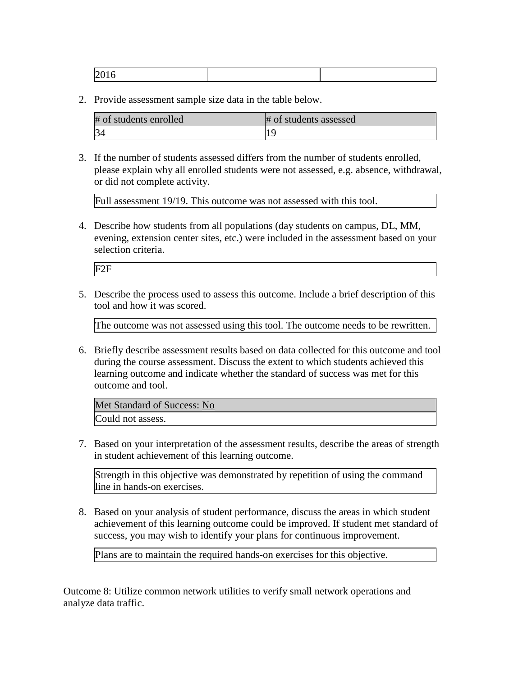| $\sim$ |  |
|--------|--|

| # of students enrolled | # of students assessed |
|------------------------|------------------------|
| 34                     |                        |

3. If the number of students assessed differs from the number of students enrolled, please explain why all enrolled students were not assessed, e.g. absence, withdrawal, or did not complete activity.

Full assessment 19/19. This outcome was not assessed with this tool.

4. Describe how students from all populations (day students on campus, DL, MM, evening, extension center sites, etc.) were included in the assessment based on your selection criteria.

F2F

5. Describe the process used to assess this outcome. Include a brief description of this tool and how it was scored.

The outcome was not assessed using this tool. The outcome needs to be rewritten.

6. Briefly describe assessment results based on data collected for this outcome and tool during the course assessment. Discuss the extent to which students achieved this learning outcome and indicate whether the standard of success was met for this outcome and tool.

Met Standard of Success: No Could not assess.

7. Based on your interpretation of the assessment results, describe the areas of strength in student achievement of this learning outcome.

Strength in this objective was demonstrated by repetition of using the command line in hands-on exercises.

8. Based on your analysis of student performance, discuss the areas in which student achievement of this learning outcome could be improved. If student met standard of success, you may wish to identify your plans for continuous improvement.

Plans are to maintain the required hands-on exercises for this objective.

Outcome 8: Utilize common network utilities to verify small network operations and analyze data traffic.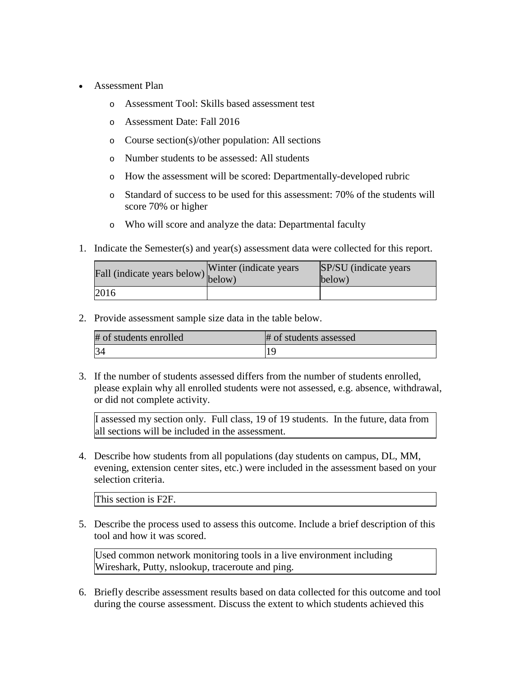- Assessment Plan
	- o Assessment Tool: Skills based assessment test
	- o Assessment Date: Fall 2016
	- o Course section(s)/other population: All sections
	- o Number students to be assessed: All students
	- o How the assessment will be scored: Departmentally-developed rubric
	- o Standard of success to be used for this assessment: 70% of the students will score 70% or higher
	- o Who will score and analyze the data: Departmental faculty
- 1. Indicate the Semester(s) and year(s) assessment data were collected for this report.

| Fall (indicate years below) below) | Winter (indicate years) | SP/SU (indicate years)<br>below) |
|------------------------------------|-------------------------|----------------------------------|
| 2016                               |                         |                                  |

| # of students enrolled | # of students assessed |
|------------------------|------------------------|
| 34                     |                        |

3. If the number of students assessed differs from the number of students enrolled, please explain why all enrolled students were not assessed, e.g. absence, withdrawal, or did not complete activity.

I assessed my section only. Full class, 19 of 19 students. In the future, data from all sections will be included in the assessment.

4. Describe how students from all populations (day students on campus, DL, MM, evening, extension center sites, etc.) were included in the assessment based on your selection criteria.

This section is F2F.

5. Describe the process used to assess this outcome. Include a brief description of this tool and how it was scored.

Used common network monitoring tools in a live environment including Wireshark, Putty, nslookup, traceroute and ping.

6. Briefly describe assessment results based on data collected for this outcome and tool during the course assessment. Discuss the extent to which students achieved this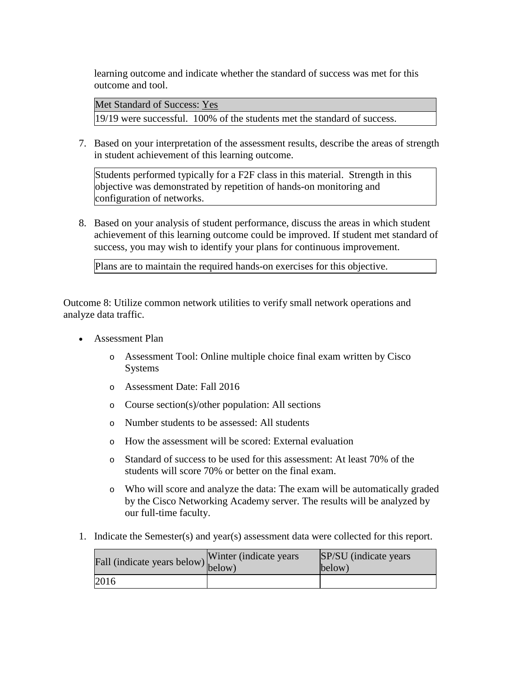learning outcome and indicate whether the standard of success was met for this outcome and tool.

Met Standard of Success: Yes 19/19 were successful. 100% of the students met the standard of success.

7. Based on your interpretation of the assessment results, describe the areas of strength in student achievement of this learning outcome.

Students performed typically for a F2F class in this material. Strength in this objective was demonstrated by repetition of hands-on monitoring and configuration of networks.

8. Based on your analysis of student performance, discuss the areas in which student achievement of this learning outcome could be improved. If student met standard of success, you may wish to identify your plans for continuous improvement.

Plans are to maintain the required hands-on exercises for this objective.

Outcome 8: Utilize common network utilities to verify small network operations and analyze data traffic.

- Assessment Plan
	- o Assessment Tool: Online multiple choice final exam written by Cisco Systems
	- o Assessment Date: Fall 2016
	- o Course section(s)/other population: All sections
	- o Number students to be assessed: All students
	- o How the assessment will be scored: External evaluation
	- o Standard of success to be used for this assessment: At least 70% of the students will score 70% or better on the final exam.
	- o Who will score and analyze the data: The exam will be automatically graded by the Cisco Networking Academy server. The results will be analyzed by our full-time faculty.
- 1. Indicate the Semester(s) and year(s) assessment data were collected for this report.

| Fall (indicate years below) below) | Winter (indicate years) | SP/SU (indicate years)<br>below) |
|------------------------------------|-------------------------|----------------------------------|
| 2016                               |                         |                                  |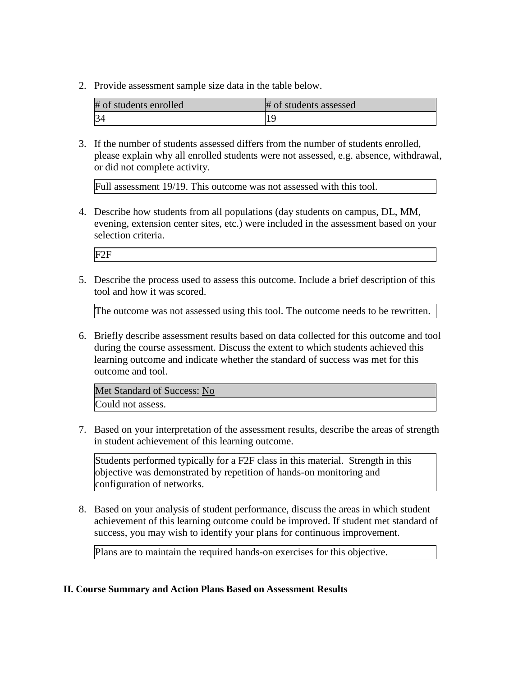| # of students enrolled | # of students assessed |
|------------------------|------------------------|
| 34                     |                        |

3. If the number of students assessed differs from the number of students enrolled, please explain why all enrolled students were not assessed, e.g. absence, withdrawal, or did not complete activity.

Full assessment 19/19. This outcome was not assessed with this tool.

4. Describe how students from all populations (day students on campus, DL, MM, evening, extension center sites, etc.) were included in the assessment based on your selection criteria.

F2F

5. Describe the process used to assess this outcome. Include a brief description of this tool and how it was scored.

The outcome was not assessed using this tool. The outcome needs to be rewritten.

6. Briefly describe assessment results based on data collected for this outcome and tool during the course assessment. Discuss the extent to which students achieved this learning outcome and indicate whether the standard of success was met for this outcome and tool.

Met Standard of Success: No Could not assess.

7. Based on your interpretation of the assessment results, describe the areas of strength in student achievement of this learning outcome.

Students performed typically for a F2F class in this material. Strength in this objective was demonstrated by repetition of hands-on monitoring and configuration of networks.

8. Based on your analysis of student performance, discuss the areas in which student achievement of this learning outcome could be improved. If student met standard of success, you may wish to identify your plans for continuous improvement.

Plans are to maintain the required hands-on exercises for this objective.

### **II. Course Summary and Action Plans Based on Assessment Results**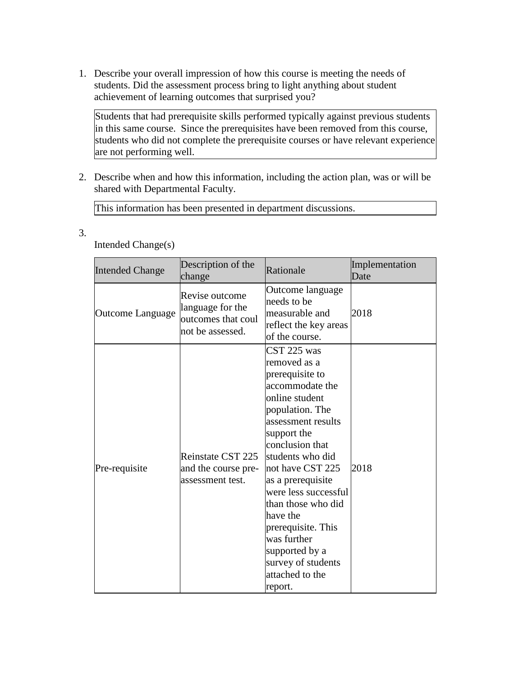1. Describe your overall impression of how this course is meeting the needs of students. Did the assessment process bring to light anything about student achievement of learning outcomes that surprised you?

Students that had prerequisite skills performed typically against previous students in this same course. Since the prerequisites have been removed from this course, students who did not complete the prerequisite courses or have relevant experience are not performing well.

2. Describe when and how this information, including the action plan, was or will be shared with Departmental Faculty.

This information has been presented in department discussions.

3.

Intended Change(s)

| <b>Intended Change</b> | Description of the<br>change                                                 | Rationale                                                                                                                                                                                                                                                                                                                                                                                        | Implementation<br>Date |
|------------------------|------------------------------------------------------------------------------|--------------------------------------------------------------------------------------------------------------------------------------------------------------------------------------------------------------------------------------------------------------------------------------------------------------------------------------------------------------------------------------------------|------------------------|
| Outcome Language       | Revise outcome<br>language for the<br>outcomes that coul<br>not be assessed. | Outcome language<br>needs to be<br>measurable and<br>reflect the key areas<br>of the course.                                                                                                                                                                                                                                                                                                     | 2018                   |
| Pre-requisite          | Reinstate CST 225<br>and the course pre-<br>assessment test.                 | CST 225 was<br>removed as a<br>prerequisite to<br>accommodate the<br>online student<br>population. The<br>assessment results<br>support the<br>conclusion that<br>students who did<br>not have CST 225<br>as a prerequisite<br>were less successful<br>than those who did<br>have the<br>prerequisite. This<br>was further<br>supported by a<br>survey of students<br>attached to the<br>report. | 2018                   |